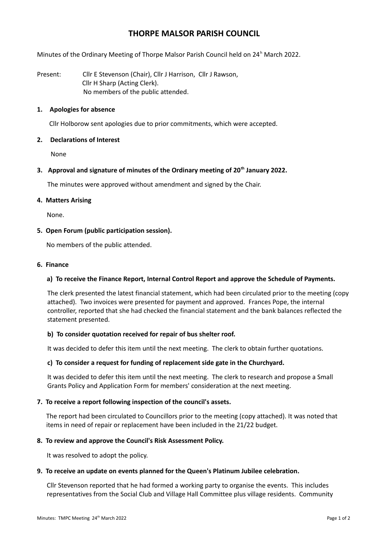# **THORPE MALSOR PARISH COUNCIL**

Minutes of the Ordinary Meeting of Thorpe Malsor Parish Council held on 24<sup>h</sup> March 2022.

Present: Cllr E Stevenson (Chair), Cllr J Harrison, Cllr J Rawson, Cllr H Sharp (Acting Clerk). No members of the public attended.

## **1. Apologies for absence**

Cllr Holborow sent apologies due to prior commitments, which were accepted.

## **2. Declarations of Interest**

None

## **3. Approval and signature of minutes of the Ordinary meeting of 20th January 2022.**

The minutes were approved without amendment and signed by the Chair.

## **4. Matters Arising**

None.

## **5. Open Forum (public participation session).**

No members of the public attended.

## **6. Finance**

## **a) To receive the Finance Report, Internal Control Report and approve the Schedule of Payments.**

The clerk presented the latest financial statement, which had been circulated prior to the meeting (copy attached). Two invoices were presented for payment and approved. Frances Pope, the internal controller, reported that she had checked the financial statement and the bank balances reflected the statement presented.

## **b) To consider quotation received for repair of bus shelter roof.**

It was decided to defer this item until the next meeting. The clerk to obtain further quotations.

## **c) To consider a request for funding of replacement side gate in the Churchyard.**

It was decided to defer this item until the next meeting. The clerk to research and propose a Small Grants Policy and Application Form for members' consideration at the next meeting.

#### **7. To receive a report following inspection of the council's assets.**

The report had been circulated to Councillors prior to the meeting (copy attached). It was noted that items in need of repair or replacement have been included in the 21/22 budget.

#### **8. To review and approve the Council's Risk Assessment Policy.**

It was resolved to adopt the policy.

#### **9. To receive an update on events planned for the Queen's Platinum Jubilee celebration.**

Cllr Stevenson reported that he had formed a working party to organise the events. This includes representatives from the Social Club and Village Hall Committee plus village residents. Community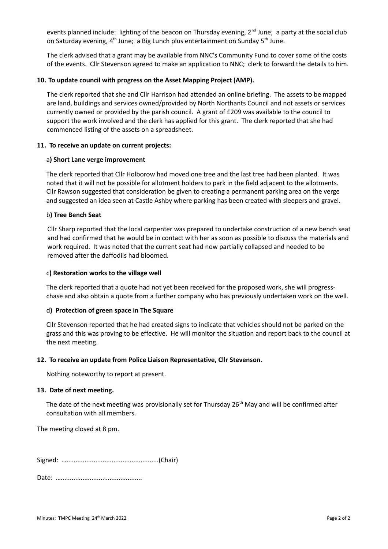events planned include: lighting of the beacon on Thursday evening, 2<sup>nd</sup> June; a party at the social club on Saturday evening, 4<sup>th</sup> June; a Big Lunch plus entertainment on Sunday 5<sup>th</sup> June.

The clerk advised that a grant may be available from NNC's Community Fund to cover some of the costs of the events. Cllr Stevenson agreed to make an application to NNC; clerk to forward the details to him.

## **10. To update council with progress on the Asset Mapping Project (AMP).**

The clerk reported that she and Cllr Harrison had attended an online briefing. The assets to be mapped are land, buildings and services owned/provided by North Northants Council and not assets or services currently owned or provided by the parish council. A grant of £209 was available to the council to support the work involved and the clerk has applied for this grant. The clerk reported that she had commenced listing of the assets on a spreadsheet.

## **11. To receive an update on current projects:**

#### a**) Short Lane verge improvement**

The clerk reported that Cllr Holborow had moved one tree and the last tree had been planted. It was noted that it will not be possible for allotment holders to park in the field adjacent to the allotments. Cllr Rawson suggested that consideration be given to creating a permanent parking area on the verge and suggested an idea seen at Castle Ashby where parking has been created with sleepers and gravel.

## b**) Tree Bench Seat**

Cllr Sharp reported that the local carpenter was prepared to undertake construction of a new bench seat and had confirmed that he would be in contact with her as soon as possible to discuss the materials and work required. It was noted that the current seat had now partially collapsed and needed to be removed after the daffodils had bloomed.

#### c**) Restoration works to the village well**

The clerk reported that a quote had not yet been received for the proposed work, she will progresschase and also obtain a quote from a further company who has previously undertaken work on the well.

#### d**) Protection of green space in The Square**

Cllr Stevenson reported that he had created signs to indicate that vehicles should not be parked on the grass and this was proving to be effective. He will monitor the situation and report back to the council at the next meeting.

#### **12. To receive an update from Police Liaison Representative, Cllr Stevenson.**

Nothing noteworthy to report at present.

#### **13. Date of next meeting.**

The date of the next meeting was provisionally set for Thursday  $26<sup>th</sup>$  May and will be confirmed after consultation with all members.

The meeting closed at 8 pm.

Signed: …...................................................(Chair)

Date: …………………………………………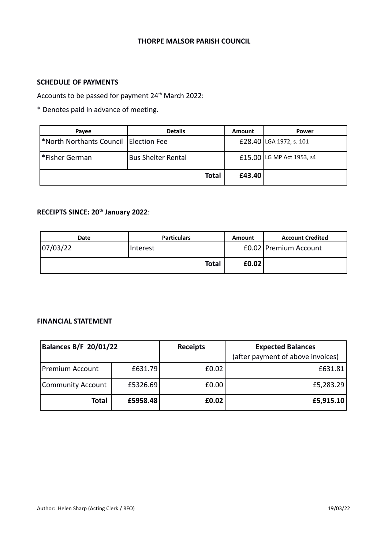## **THORPE MALSOR PARISH COUNCIL**

# **SCHEDULE OF PAYMENTS**

Accounts to be passed for payment 24<sup>th</sup> March 2022:

\* Denotes paid in advance of meeting.

| Payee                                  | <b>Details</b>            | Amount | <b>Power</b>              |
|----------------------------------------|---------------------------|--------|---------------------------|
| North Northants Council   Election Fee |                           |        | £28.40 LGA 1972, s. 101   |
| Fisher German®                         | <b>Bus Shelter Rental</b> |        | £15.00 LG MP Act 1953, s4 |
|                                        | <b>Total</b>              | £43.40 |                           |

# **RECEIPTS SINCE: 20th January 2022**:

| <b>Date</b> | <b>Particulars</b> | Amount | <b>Account Credited</b> |
|-------------|--------------------|--------|-------------------------|
| 07/03/22    | Interest           |        | £0.02 Premium Account   |
|             | <b>Total</b>       | E0.02  |                         |

# **FINANCIAL STATEMENT**

| <b>Balances B/F 20/01/22</b> |          | <b>Receipts</b> | <b>Expected Balances</b>          |  |
|------------------------------|----------|-----------------|-----------------------------------|--|
|                              |          |                 | (after payment of above invoices) |  |
| Premium Account              | £631.79  | £0.02           | £631.81                           |  |
| <b>Community Account</b>     | £5326.69 | E0.00           | £5,283.29                         |  |
| <b>Total</b>                 | £5958.48 | £0.02           | £5,915.10                         |  |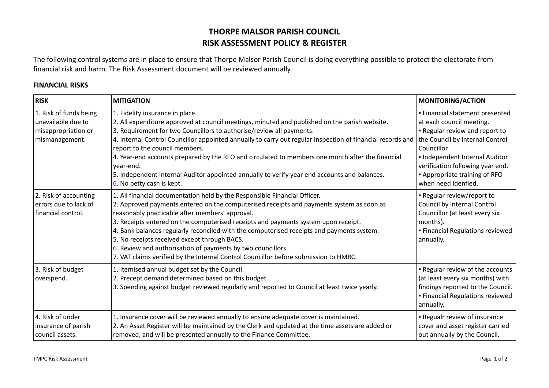# **THORPE MALSOR PARISH COUNCIL RISK ASSESSMENT POLICY & REGISTER**

The following control systems are in place to ensure that Thorpe Malsor Parish Council is doing everything possible to protect the electorate from financial risk and harm. The Risk Assessment document will be reviewed annually.

# **FINANCIAL RISKS**

| <b>RISK</b>                                                                           | <b>MITIGATION</b>                                                                                                                                                                                                                                                                                                                                                                                                                                                                                                                                                                                                  | <b>MONITORING/ACTION</b>                                                                                                                                                                                                                                                             |
|---------------------------------------------------------------------------------------|--------------------------------------------------------------------------------------------------------------------------------------------------------------------------------------------------------------------------------------------------------------------------------------------------------------------------------------------------------------------------------------------------------------------------------------------------------------------------------------------------------------------------------------------------------------------------------------------------------------------|--------------------------------------------------------------------------------------------------------------------------------------------------------------------------------------------------------------------------------------------------------------------------------------|
| 1. Risk of funds being<br>unavailable due to<br>misappropriation or<br>mismanagement. | 1. Fidelity insurance in place.<br>2. All expenditure approved at council meetings, minuted and published on the parish website.<br>3. Requirement for two Councillors to authorise/review all payments.<br>4. Internal Control Councillor appointed annually to carry out regular inspection of financial records and<br>report to the council members.<br>4. Year-end accounts prepared by the RFO and circulated to members one month after the financial<br>year-end.<br>5. Independent Internal Auditor appointed annually to verify year end accounts and balances.<br>6. No petty cash is kept.             | · Financial statement presented<br>at each council meeting.<br>. Regular review and report to<br>the Council by Internal Control<br>Councillor.<br>. Independent Internal Auditor<br>verification following year end.<br><b>-</b> Appropriate training of RFO<br>when need idenfied. |
| 2. Risk of accounting<br>errors due to lack of<br>financial control.                  | 1. All financial documentation held by the Responsible Financial Officer.<br>2. Approved payments entered on the computerised receipts and payments system as soon as<br>reasonably practicable after members' approval.<br>3. Receipts entered on the computerised receipts and payments system upon receipt.<br>4. Bank balances regularly reconciled with the computerised receipts and payments system.<br>5. No receipts received except through BACS.<br>6. Review and authorisation of payments by two councillors.<br>7. VAT claims verified by the Internal Control Councillor before submission to HMRC. | - Regular review/report to<br>Council by Internal Control<br>Councillor (at least every six<br>months).<br>· Financial Regulations reviewed<br>annually.                                                                                                                             |
| 3. Risk of budget<br>overspend.                                                       | 1. Itemised annual budget set by the Council.<br>2. Precept demand determined based on this budget.<br>3. Spending against budget reviewed regularly and reported to Council at least twice yearly.                                                                                                                                                                                                                                                                                                                                                                                                                | . Regular review of the accounts<br>(at least every six months) with<br>findings reported to the Council.<br>· Financial Regulations reviewed<br>annually.                                                                                                                           |
| 4. Risk of under<br>insurance of parish<br>council assets.                            | 1. Insurance cover will be reviewed annually to ensure adequate cover is maintained.<br>2. An Asset Register will be maintained by the Clerk and updated at the time assets are added or<br>removed, and will be presented annually to the Finance Committee.                                                                                                                                                                                                                                                                                                                                                      | . Regualr review of insurance<br>cover and asset register carried<br>out annually by the Council.                                                                                                                                                                                    |